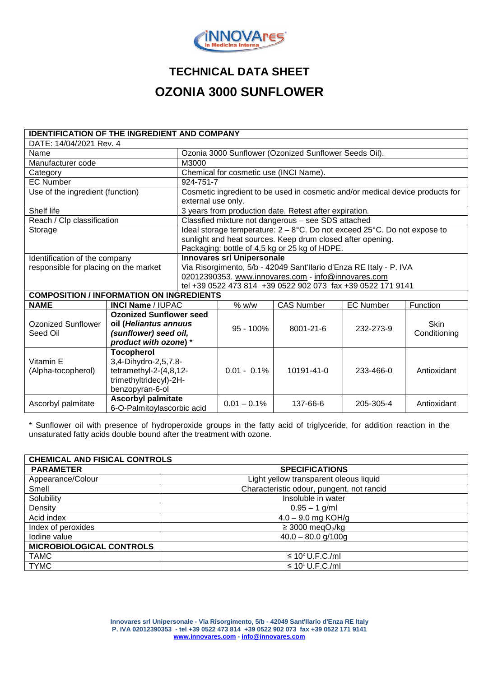

## **TECHNICAL DATA SHEET OZONIA 3000 SUNFLOWER**

| <b>IDENTIFICATION OF THE INGREDIENT AND COMPANY</b> |                                                                                                                  |                                                                                                                                                                                               |                |                   |                  |                             |  |
|-----------------------------------------------------|------------------------------------------------------------------------------------------------------------------|-----------------------------------------------------------------------------------------------------------------------------------------------------------------------------------------------|----------------|-------------------|------------------|-----------------------------|--|
| DATE: 14/04/2021 Rev. 4                             |                                                                                                                  |                                                                                                                                                                                               |                |                   |                  |                             |  |
| Name                                                |                                                                                                                  | Ozonia 3000 Sunflower (Ozonized Sunflower Seeds Oil).                                                                                                                                         |                |                   |                  |                             |  |
| Manufacturer code                                   |                                                                                                                  | M3000                                                                                                                                                                                         |                |                   |                  |                             |  |
| Category                                            |                                                                                                                  | Chemical for cosmetic use (INCI Name).                                                                                                                                                        |                |                   |                  |                             |  |
| <b>EC Number</b>                                    |                                                                                                                  | 924-751-7                                                                                                                                                                                     |                |                   |                  |                             |  |
| Use of the ingredient (function)                    |                                                                                                                  | Cosmetic ingredient to be used in cosmetic and/or medical device products for<br>external use only.                                                                                           |                |                   |                  |                             |  |
| Shelf life                                          |                                                                                                                  | 3 years from production date. Retest after expiration.                                                                                                                                        |                |                   |                  |                             |  |
| Reach / Clp classification                          |                                                                                                                  | Classfied mixture not dangerous - see SDS attached                                                                                                                                            |                |                   |                  |                             |  |
| Storage                                             |                                                                                                                  | Ideal storage temperature: $2 - 8$ °C. Do not exceed $25$ °C. Do not expose to<br>sunlight and heat sources. Keep drum closed after opening.<br>Packaging: bottle of 4,5 kg or 25 kg of HDPE. |                |                   |                  |                             |  |
| Identification of the company                       |                                                                                                                  | <b>Innovares srl Unipersonale</b>                                                                                                                                                             |                |                   |                  |                             |  |
| responsible for placing on the market               |                                                                                                                  | Via Risorgimento, 5/b - 42049 Sant'Ilario d'Enza RE Italy - P. IVA                                                                                                                            |                |                   |                  |                             |  |
|                                                     |                                                                                                                  | 02012390353. www.innovares.com - info@innovares.com                                                                                                                                           |                |                   |                  |                             |  |
|                                                     |                                                                                                                  | tel +39 0522 473 814 +39 0522 902 073 fax +39 0522 171 9141                                                                                                                                   |                |                   |                  |                             |  |
| <b>COMPOSITION / INFORMATION ON INGREDIENTS</b>     |                                                                                                                  |                                                                                                                                                                                               |                |                   |                  |                             |  |
| <b>NAME</b>                                         | <b>INCI Name / IUPAC</b>                                                                                         |                                                                                                                                                                                               | $%$ W/W        | <b>CAS Number</b> | <b>EC Number</b> | Function                    |  |
| Ozonized Sunflower<br>Seed Oil                      | <b>Ozonized Sunflower seed</b><br>oil (Heliantus annuus<br>(sunflower) seed oil,<br>product with ozone) *        |                                                                                                                                                                                               | $95 - 100\%$   | 8001-21-6         | 232-273-9        | <b>Skin</b><br>Conditioning |  |
| Vitamin E<br>(Alpha-tocopherol)                     | <b>Tocopherol</b><br>3,4-Dihydro-2,5,7,8-<br>tetramethyl-2-(4,8,12-<br>trimethyltridecyl)-2H-<br>benzopyran-6-ol |                                                                                                                                                                                               | $0.01 - 0.1\%$ | 10191-41-0        | $233 - 466 - 0$  | Antioxidant                 |  |
| Ascorbyl palmitate                                  | <b>Ascorbyl palmitate</b><br>6-O-Palmitoylascorbic acid                                                          |                                                                                                                                                                                               | $0.01 - 0.1\%$ | 137-66-6          | 205-305-4        | Antioxidant                 |  |

\* Sunflower oil with presence of hydroperoxide groups in the fatty acid of triglyceride, for addition reaction in the unsaturated fatty acids double bound after the treatment with ozone.

| <b>CHEMICAL AND FISICAL CONTROLS</b> |                                           |  |  |  |
|--------------------------------------|-------------------------------------------|--|--|--|
| <b>PARAMETER</b>                     | <b>SPECIFICATIONS</b>                     |  |  |  |
| Appearance/Colour                    | Light yellow transparent oleous liquid    |  |  |  |
| Smell                                | Characteristic odour, pungent, not rancid |  |  |  |
| Solubility                           | Insoluble in water                        |  |  |  |
| Density                              | $0.95 - 1$ g/ml                           |  |  |  |
| Acid index                           | $4.0 - 9.0$ mg KOH/g                      |  |  |  |
| Index of peroxides                   | $\geq$ 3000 megO <sub>2</sub> /kg         |  |  |  |
| Iodine value                         | $40.0 - 80.0$ g/100g                      |  |  |  |
| <b>MICROBIOLOGICAL CONTROLS</b>      |                                           |  |  |  |
| <b>TAMC</b>                          | $\leq 10^2$ U.F.C./ml                     |  |  |  |
| <b>TYMC</b>                          | $\leq 10^1$ U.F.C./ml                     |  |  |  |